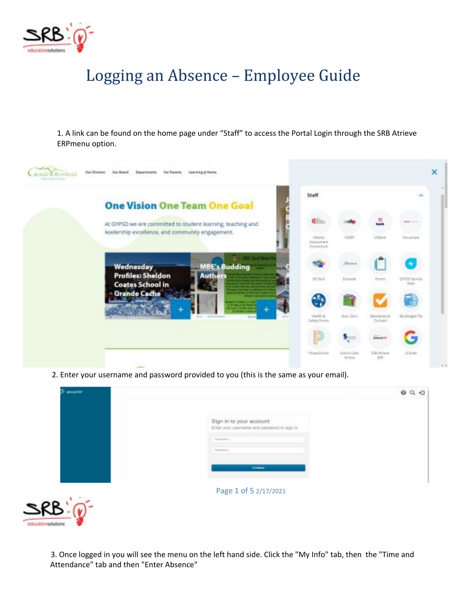

## Logging an Absence – Employee Guide

1. A link can be found on the home page under "Staff" to access the Portal Login through the SRB Atrieve ERPmenu option.



2. Enter your username and password provided to you (this is the same as your email).

| show(10) |                                                                        | 090 |
|----------|------------------------------------------------------------------------|-----|
|          | Sign in to your account<br>Enter your usemerie and password to eign in |     |
|          | Lincolning<br>Financial.                                               |     |
|          | Gration                                                                |     |
| R        | Page 1 of 5 2/17/2021                                                  |     |



3. Once logged in you will see the menu on the left hand side. Click the "My Info" tab, then the "Time and Attendance" tab and then "Enter Absence"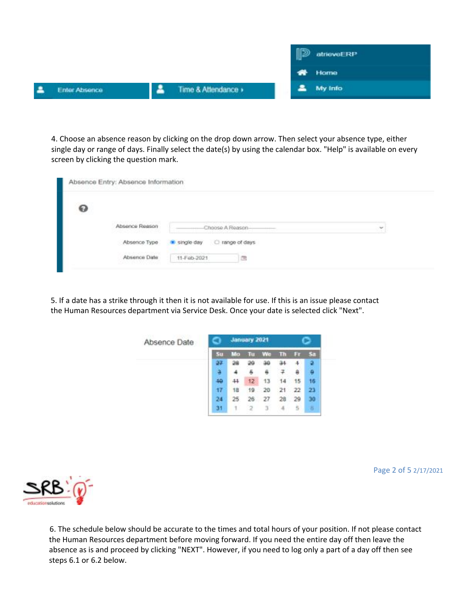|   |               |                   | է | atrieveERP    |
|---|---------------|-------------------|---|---------------|
|   |               |                   |   | <b>W</b> Home |
| А | Enter Absence | Time & Attendance |   | My Info       |

4. Choose an absence reason by clicking on the drop down arrow. Then select your absence type, either single day or range of days. Finally select the date(s) by using the calendar box. "Help" is available on every screen by clicking the question mark.

| ๏ |                |                             |   |
|---|----------------|-----------------------------|---|
|   | Absence Reason | Choose A Reason-            | ÷ |
|   | Absence Type   | single day<br>nange of days |   |
|   | Absence Date   | 11-Feb-2021                 |   |

5. If a date has a strike through it then it is not available for use. If this is an issue please contact the Human Resources department via Service Desk. Once your date is selected click "Next".



| ▱ |  |
|---|--|
|   |  |

Page 2 of 5 2/17/2021

6. The schedule below should be accurate to the times and total hours of your position. If not please contact the Human Resources department before moving forward. If you need the entire day off then leave the absence as is and proceed by clicking "NEXT". However, if you need to log only a part of a day off then see steps 6.1 or 6.2 below.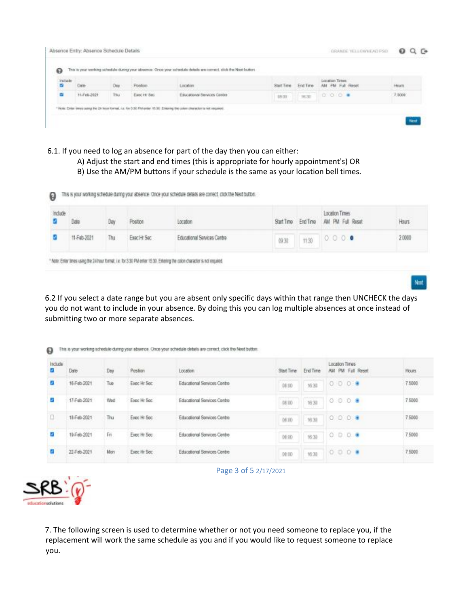| Industr |             |      | Posteon     | Location                           |        |       | Location Times<br>AN FM Full Reset | <b>Hours</b> |
|---------|-------------|------|-------------|------------------------------------|--------|-------|------------------------------------|--------------|
| ø       | 11.Feb.2021 | Thu. | Esoc H' Sac | <b>Educational Services Centre</b> | 18, 03 | 18,30 | $0.0.0$ .                          | 7.5000       |

- 6.1. If you need to log an absence for part of the day then you can either:
	- A) Adjust the start and end times (this is appropriate for hourly appointment's) OR
	- B) Use the AM/PM buttons if your schedule is the same as your location bell times.

| Include | Date        |    | Position    | Location                    |       |      | Location Times<br>Start Time End Time AM PM Full Reset | Hours  |
|---------|-------------|----|-------------|-----------------------------|-------|------|--------------------------------------------------------|--------|
|         | 11-Feb-2021 | hu | Easc Hr Sec | Educational Services Centre | (9.3) | 1130 | 0.000                                                  | 2,0000 |

6.2 If you select a date range but you are absent only specific days within that range then UNCHECK the days you do not want to include in your absence. By doing this you can log multiple absences at once instead of submitting two or more separate absences.

Not.

| Include<br>0 | Date        | Day | Position     | Location                                           | Start Time | End Time |  | Location Times | AM PM Full Reset | <b>CONTRACTOR</b><br><b>Hours</b> |
|--------------|-------------|-----|--------------|----------------------------------------------------|------------|----------|--|----------------|------------------|-----------------------------------|
| o            | 16-Fab-2021 | Tue | Exec Hr Sec  | Educational Services Centre                        | 08:00      | 16:30    |  | 0.0.0.9        |                  | 7,5000                            |
| 6            | 17-Fab-2021 | Wed | Expe Hr Sec. | Educational Services Centre                        | 08:00      | 16:30    |  | 0.0.0.9        |                  | 7,5000                            |
| o            | 18-Feb-2021 | Thu | Exec Hr Sec  | Educational Services Centre                        | 08:00      | 36,30    |  | 0.0.0.9        |                  | 7.5000                            |
|              | 19-Feb-2021 | Fn  | Exec Hr Sec  | Educational Services Centre<br>THE REPORT OF STATE | 08:00      | 35.30    |  | 0000           |                  | 75000                             |
|              | 22-Feb-2021 | Mon | Exec Hr Sec  | Educational Services Centre                        | 00:00      | 10:30    |  | 000            |                  | 7.5000<br>1,000                   |



Page 3 of 5 2/17/2021

7. The following screen is used to determine whether or not you need someone to replace you, if the replacement will work the same schedule as you and if you would like to request someone to replace you.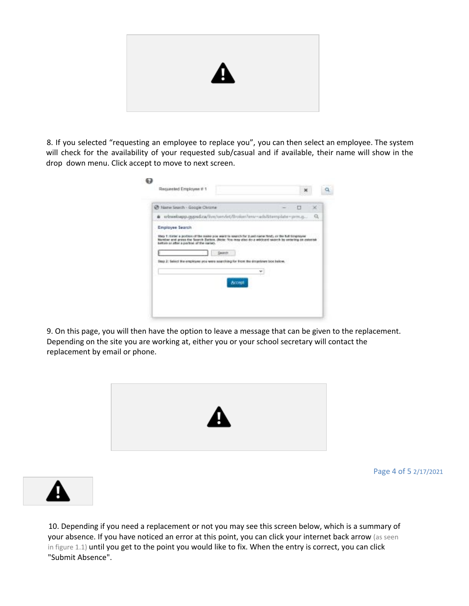

8. If you selected "requesting an employee to replace you", you can then select an employee. The system will check for the availability of your requested sub/casual and if available, their name will show in the drop down menu. Click accept to move to next screen.

| C Name Search - Google Chrome |                                                                                            | П | × |
|-------------------------------|--------------------------------------------------------------------------------------------|---|---|
|                               | arbwebapp.gypsd.ca/live/unvirt/Broken/env-adsStemplate-prm.g                               |   | Q |
|                               | Search<br>Stop 2: Select the omployee you were sourching for front the doopdawn box below. |   |   |

9. On this page, you will then have the option to leave a message that can be given to the replacement. Depending on the site you are working at, either you or your school secretary will contact the replacement by email or phone.



Page 4 of 5 2/17/2021

10. Depending if you need a replacement or not you may see this screen below, which is a summary of your absence. If you have noticed an error at this point, you can click your internet back arrow (as seen in figure 1.1) until you get to the point you would like to fix. When the entry is correct, you can click "Submit Absence".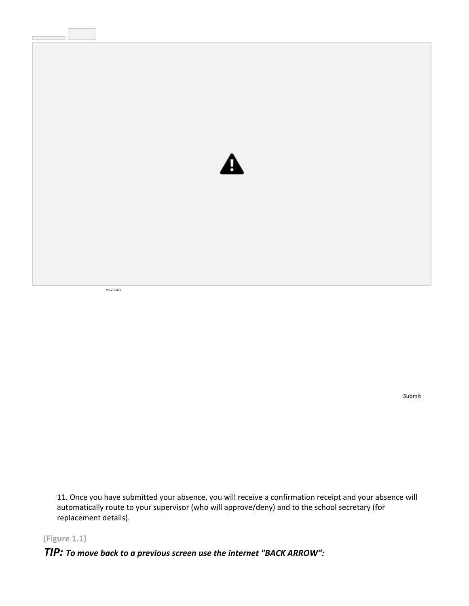

Ms. Z. Smith

Submit

11. Once you have submitted your absence, you will receive a confirmation receipt and your absence will automatically route to your supervisor (who will approve/deny) and to the school secretary (for replacement details).

**(Figure 1.1)**

*TIP: To move back to a previous screen use the internet "BACK ARROW":*